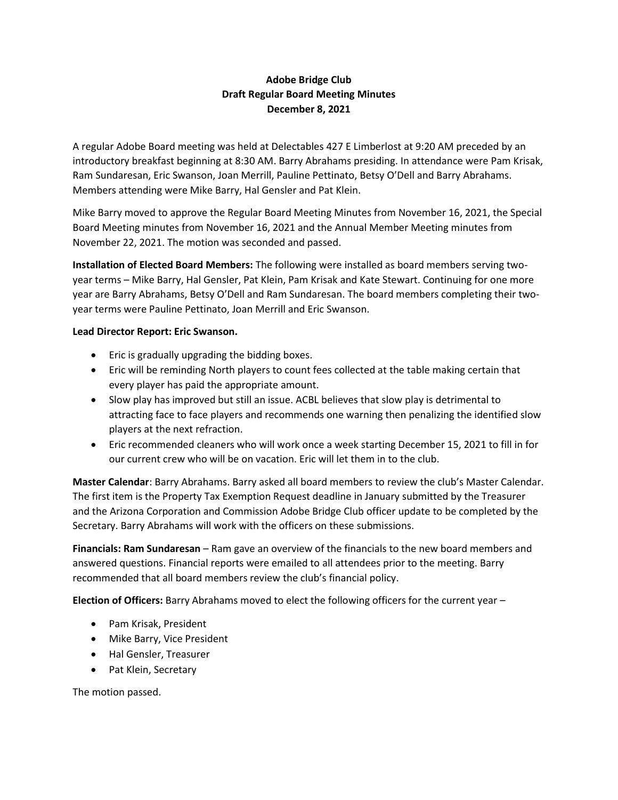## **Adobe Bridge Club Draft Regular Board Meeting Minutes December 8, 2021**

A regular Adobe Board meeting was held at Delectables 427 E Limberlost at 9:20 AM preceded by an introductory breakfast beginning at 8:30 AM. Barry Abrahams presiding. In attendance were Pam Krisak, Ram Sundaresan, Eric Swanson, Joan Merrill, Pauline Pettinato, Betsy O'Dell and Barry Abrahams. Members attending were Mike Barry, Hal Gensler and Pat Klein.

Mike Barry moved to approve the Regular Board Meeting Minutes from November 16, 2021, the Special Board Meeting minutes from November 16, 2021 and the Annual Member Meeting minutes from November 22, 2021. The motion was seconded and passed.

**Installation of Elected Board Members:** The following were installed as board members serving twoyear terms – Mike Barry, Hal Gensler, Pat Klein, Pam Krisak and Kate Stewart. Continuing for one more year are Barry Abrahams, Betsy O'Dell and Ram Sundaresan. The board members completing their twoyear terms were Pauline Pettinato, Joan Merrill and Eric Swanson.

## **Lead Director Report: Eric Swanson.**

- Eric is gradually upgrading the bidding boxes.
- Eric will be reminding North players to count fees collected at the table making certain that every player has paid the appropriate amount.
- Slow play has improved but still an issue. ACBL believes that slow play is detrimental to attracting face to face players and recommends one warning then penalizing the identified slow players at the next refraction.
- Eric recommended cleaners who will work once a week starting December 15, 2021 to fill in for our current crew who will be on vacation. Eric will let them in to the club.

**Master Calendar**: Barry Abrahams. Barry asked all board members to review the club's Master Calendar. The first item is the Property Tax Exemption Request deadline in January submitted by the Treasurer and the Arizona Corporation and Commission Adobe Bridge Club officer update to be completed by the Secretary. Barry Abrahams will work with the officers on these submissions.

**Financials: Ram Sundaresan** – Ram gave an overview of the financials to the new board members and answered questions. Financial reports were emailed to all attendees prior to the meeting. Barry recommended that all board members review the club's financial policy.

**Election of Officers:** Barry Abrahams moved to elect the following officers for the current year –

- Pam Krisak, President
- Mike Barry, Vice President
- Hal Gensler, Treasurer
- Pat Klein, Secretary

The motion passed.